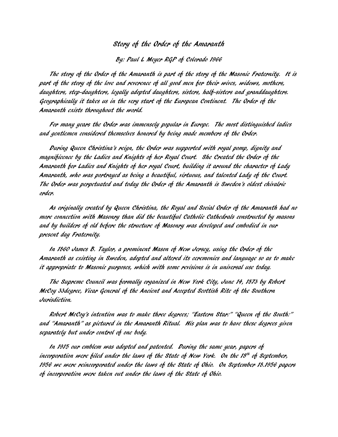## Story of the Order of the Amaranth

By: Paul L Meyer RGP of Colorado 1966

The story of the Order of the Amaranth is part of the story of the Masonic Fraternity. It is part of the story of the love and reverence of all good men for their wives, widows, mothers, daughters, step-daughters, legally adopted daughters, sisters, half-sisters and granddaughters. Geographically it takes us in the very start of the European Continent. The Order of the Amaranth exists throughout the world.

For many years the Order was immensely popular in Europe. The most distinguished ladies and gentlemen considered themselves honored by being made members of the Order.

During Queen Christina's reign, the Order was supported with royal pomp, dignity and magnificence by the Ladies and Knights of her Royal Court. She Created the Order of the Amaranth for Ladies and Knights of her royal Court, building it around the character of Lady Amaranth, who was portrayed as being a beautiful, virtuous, and talented Lady of the Court. The Order was perpetuated and today the Order of the Amaranth is Sweden's oldest chivalric order.

As originally created by Queen Christina, the Royal and Social Order of the Amaranth had no more connection with Masonry than did the beautiful Catholic Cathedrals constructed by masons and by builders of old before the structure of Masonry was developed and embodied in our present day Fraternity.

In 1860 James B. Taylor, a prominent Mason of New Jersey, using the Order of the Amaranth as existing in Sweden, adopted and altered its ceremonies and language so as to make it appropriate to Masonic purposes, which with some revisions is in universal use today.

The Supreme Council was formally organized in New York City, June 14, 1873 by Robert McCoy 33degree, Vicar General of the Ancient and Accepted Scottish Rite of the Southern Jurisdiction.

Robert McCoy's intention was to make three degrees; "Eastern Star:" "Queen of the South:" and "Amaranth" as pictured in the Amaranth Ritual. His plan was to have these degrees given separately but under control of one body.

In 1915 our emblem was adopted and patented. During the same year, papers of incorporation were filed under the laws of the State of New York. On the 18th of September, 1956 we were reincorporated under the laws of the State of Ohio. On September 18.1956 papers of incorporation were taken out under the laws of the State of Ohio.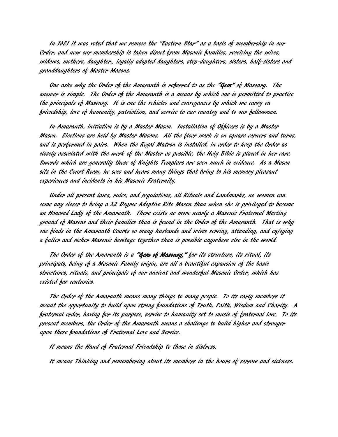In 1921 it was voted that we remove the "Eastern Star" as a basis of membership in our Order, and now our membership is taken direct from Masonic families, receiving the wives, widows, mothers, daughter,, legally adopted daughters, step-daughters, sisters, half-sisters and granddaughters of Master Masons.

One asks why the Order of the Amaranth is referred to as the "Gem" of Masonry. The answer is simple. The Order of the Amaranth is a means by which one is permitted to practice the principals of Masonry. It is one the vehicles and conveyances by which we carry on friendship, love of humanity, patriotism, and service to our country and to our fellowmen.

In Amaranth, initiation is by a Master Mason. Installation of Officers is by a Master Mason. Elections are held by Master Masons. All the floor work is on square corners and turns, and is performed in pairs. When the Royal Matron is installed, in order to keep the Order as closely associated with the work of the Master as possible, the Holy Bible is placed in her care. Swords which are generally those of Knights Templars are seen much in evidence. As a Mason sits in the Court Room, he sees and hears many things that bring to his memory pleasant experiences and incidents in his Masonic Fraternity.

Under all present laws, rules, and regulations, all Rituals and Landmarks, no women can come any closer to being a 32 Degree Adoptive Rite Mason than when she is privileged to become an Honored Lady of the Amaranth. There exists no more nearly a Masonic Fraternal Meeting ground of Masons and their families than is found in the Order of the Amaranth. That is why one finds in the Amaranth Courts so many husbands and wives serving, attending, and enjoying a fuller and richer Masonic heritage together than is possible anywhere else in the world.

The Order of the Amaranth is a "Gem of Masonry," for its structure, its ritual, its principals, being of a Masonic Family origin, are all a beautiful expansion of the basic structures, rituals, and principals of our ancient and wonderful Masonic Order, which has existed for centuries.

The Order of the Amaranth means many things to many people. To its early members it meant the opportunity to build upon strong foundations of Truth, Faith, Wisdom and Charity. A fraternal order, having for its purpose, service to humanity set to music of fraternal love. To its present members, the Order of the Amaranth means a challenge to build higher and stronger upon these foundations of Fraternal Love and Service.

It means the Hand of Fraternal Friendship to those in distress.

It means Thinking and remembering about its members in the hours of sorrow and sickness.